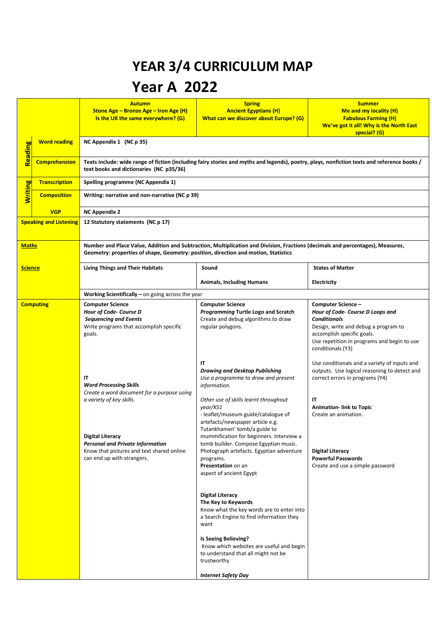## **YEAR 3/4 CURRICULUM MAP Year A 2022**

|                               |                      | <b>Autumn</b><br><b>Stone Age - Bronze Age - Iron Age (H)</b><br>Is the UK the same everywhere? (G)                                                                                                                   | <b>Spring</b><br><b>Ancient Egyptians (H)</b><br>What can we discover about Europe? (G)                                                                                                                                                                            | <b>Summer</b><br>Me and my locality (H)<br><b>Fabulous Farming (H)</b><br>We've got it all! Why is the North East<br>special? (G)                                                                                       |  |
|-------------------------------|----------------------|-----------------------------------------------------------------------------------------------------------------------------------------------------------------------------------------------------------------------|--------------------------------------------------------------------------------------------------------------------------------------------------------------------------------------------------------------------------------------------------------------------|-------------------------------------------------------------------------------------------------------------------------------------------------------------------------------------------------------------------------|--|
| Reading                       | <b>Word reading</b>  | NC Appendix 1 (NC p 35)                                                                                                                                                                                               |                                                                                                                                                                                                                                                                    |                                                                                                                                                                                                                         |  |
|                               | <b>Comprehension</b> | Texts include: wide range of fiction (including fairy stories and myths and legends), poetry, plays, nonfiction texts and reference books /<br>text books and dictionaries (NC p35/36)                                |                                                                                                                                                                                                                                                                    |                                                                                                                                                                                                                         |  |
|                               | <b>Transcription</b> | Spelling programme (NC Appendix 1)                                                                                                                                                                                    |                                                                                                                                                                                                                                                                    |                                                                                                                                                                                                                         |  |
| <b>Writing</b>                | <b>Composition</b>   | Writing: narrative and non-narrative (NC p 39)                                                                                                                                                                        |                                                                                                                                                                                                                                                                    |                                                                                                                                                                                                                         |  |
|                               | <b>VGP</b>           | <b>NC Appendix 2</b>                                                                                                                                                                                                  |                                                                                                                                                                                                                                                                    |                                                                                                                                                                                                                         |  |
| <b>Speaking and Listening</b> |                      | 12 Statutory statements (NC p 17)                                                                                                                                                                                     |                                                                                                                                                                                                                                                                    |                                                                                                                                                                                                                         |  |
| <b>Maths</b>                  |                      | Number and Place Value, Addition and Subtraction, Multiplication and Division, Fractions (decimals and percentages), Measures,<br>Geometry: properties of shape, Geometry: position, direction and motion, Statistics |                                                                                                                                                                                                                                                                    |                                                                                                                                                                                                                         |  |
| <u>Science</u>                |                      | <b>Living Things and Their Habitats</b>                                                                                                                                                                               | Sound                                                                                                                                                                                                                                                              | <b>States of Matter</b>                                                                                                                                                                                                 |  |
|                               |                      |                                                                                                                                                                                                                       | <b>Animals, Including Humans</b>                                                                                                                                                                                                                                   | <b>Electricity</b>                                                                                                                                                                                                      |  |
|                               |                      | Working Scientifically - on going across the year                                                                                                                                                                     |                                                                                                                                                                                                                                                                    |                                                                                                                                                                                                                         |  |
| <b>Computing</b>              |                      | <b>Computer Science</b><br>Hour of Code- Course D<br><b>Sequencing and Events</b><br>Write programs that accomplish specific<br>goals.                                                                                | <b>Computer Science</b><br><b>Programming Turtle Logo and Scratch</b><br>Create and debug algorithms to draw<br>regular polygons.                                                                                                                                  | Computer Science -<br>Hour of Code- Course D Loops and<br><b>Conditionals</b><br>Design, write and debug a program to<br>accomplish specific goals.<br>Use repetition in programs and begin to use<br>conditionals (Y3) |  |
|                               |                      | IΤ<br><b>Word Processing Skills</b><br>Create a word document for a purpose using<br>a variety of key skills.                                                                                                         | IT<br><b>Drawing and Desktop Publishing</b><br>Use a programme to draw and present<br>information.<br>Other use of skills learnt throughout<br>year/KS1<br>- leaflet/museum guide/catalogue of<br>artefacts/newspaper article e.g.<br>Tutankhamen' tomb/a guide to | Use conditionals and a variety of inputs and<br>outputs. Use logical reasoning to detect and<br>correct errors in programs (Y4)<br>IT<br><b>Animation-link to Topic</b><br>Create an animation.                         |  |
|                               |                      | Digital Literacy<br><b>Personal and Private Information</b><br>Know that pictures and text shared online<br>can end up with strangers.                                                                                | mummification for beginners. Interview a<br>tomb builder. Compose Egyptian music.<br>Photograph artefacts. Egyptian adventure<br>programs.<br>Presentation on an<br>aspect of ancient Egypt                                                                        | <b>Digital Literacy</b><br><b>Powerful Passwords</b><br>Create and use a simple password                                                                                                                                |  |
|                               |                      |                                                                                                                                                                                                                       | <b>Digital Literacy</b><br>The Key to Keywords<br>Know what the key words are to enter into<br>a Search Engine to find information they<br>want                                                                                                                    |                                                                                                                                                                                                                         |  |
|                               |                      |                                                                                                                                                                                                                       | Is Seeing Believing?<br>Know which websites are useful and begin<br>to understand that all might not be<br>trustworthy                                                                                                                                             |                                                                                                                                                                                                                         |  |
|                               |                      |                                                                                                                                                                                                                       | <b>Internet Safety Day</b>                                                                                                                                                                                                                                         |                                                                                                                                                                                                                         |  |